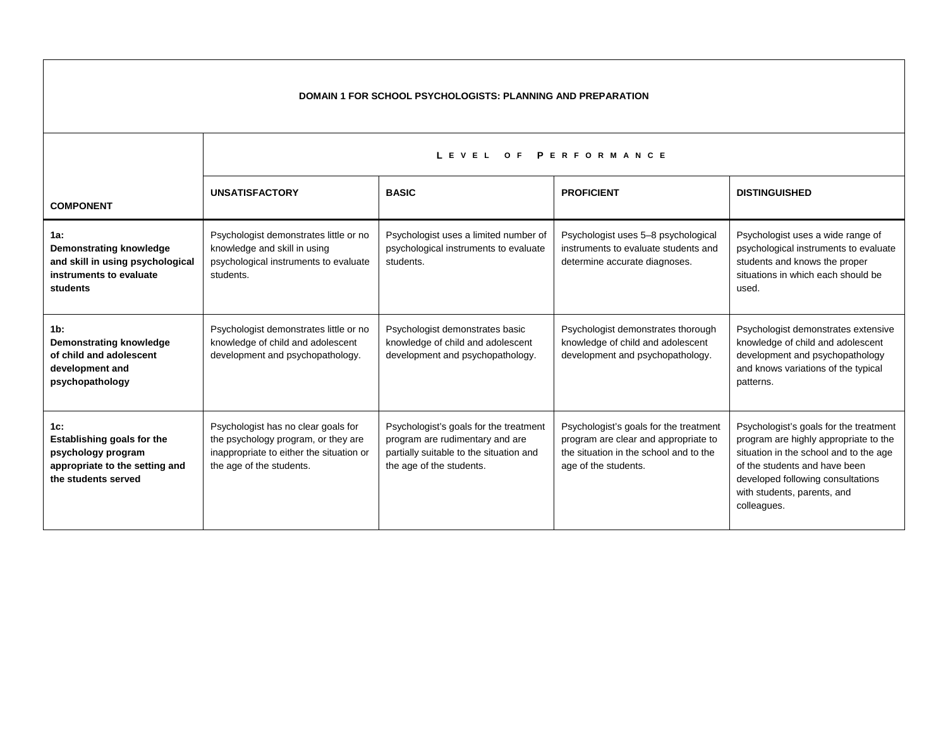|                                                                                                                  | LEVEL OF PERFORMANCE                                                                                                                               |                                                                                                                                                  |                                                                                                                                                  |                                                                                                                                                                                                                                               |
|------------------------------------------------------------------------------------------------------------------|----------------------------------------------------------------------------------------------------------------------------------------------------|--------------------------------------------------------------------------------------------------------------------------------------------------|--------------------------------------------------------------------------------------------------------------------------------------------------|-----------------------------------------------------------------------------------------------------------------------------------------------------------------------------------------------------------------------------------------------|
| <b>COMPONENT</b>                                                                                                 | <b>UNSATISFACTORY</b>                                                                                                                              | <b>BASIC</b>                                                                                                                                     | <b>PROFICIENT</b>                                                                                                                                | <b>DISTINGUISHED</b>                                                                                                                                                                                                                          |
| 1a:<br><b>Demonstrating knowledge</b><br>and skill in using psychological<br>instruments to evaluate<br>students | Psychologist demonstrates little or no<br>knowledge and skill in using<br>psychological instruments to evaluate<br>students.                       | Psychologist uses a limited number of<br>psychological instruments to evaluate<br>students.                                                      | Psychologist uses 5-8 psychological<br>instruments to evaluate students and<br>determine accurate diagnoses.                                     | Psychologist uses a wide range of<br>psychological instruments to evaluate<br>students and knows the proper<br>situations in which each should be<br>used.                                                                                    |
| $1b$ :<br><b>Demonstrating knowledge</b><br>of child and adolescent<br>development and<br>psychopathology        | Psychologist demonstrates little or no<br>knowledge of child and adolescent<br>development and psychopathology.                                    | Psychologist demonstrates basic<br>knowledge of child and adolescent<br>development and psychopathology.                                         | Psychologist demonstrates thorough<br>knowledge of child and adolescent<br>development and psychopathology.                                      | Psychologist demonstrates extensive<br>knowledge of child and adolescent<br>development and psychopathology<br>and knows variations of the typical<br>patterns.                                                                               |
| 1c:<br>Establishing goals for the<br>psychology program<br>appropriate to the setting and<br>the students served | Psychologist has no clear goals for<br>the psychology program, or they are<br>inappropriate to either the situation or<br>the age of the students. | Psychologist's goals for the treatment<br>program are rudimentary and are<br>partially suitable to the situation and<br>the age of the students. | Psychologist's goals for the treatment<br>program are clear and appropriate to<br>the situation in the school and to the<br>age of the students. | Psychologist's goals for the treatment<br>program are highly appropriate to the<br>situation in the school and to the age<br>of the students and have been<br>developed following consultations<br>with students, parents, and<br>colleagues. |

## **DOMAIN 1 FOR SCHOOL PSYCHOLOGISTS: PLANNING AND PREPARATION**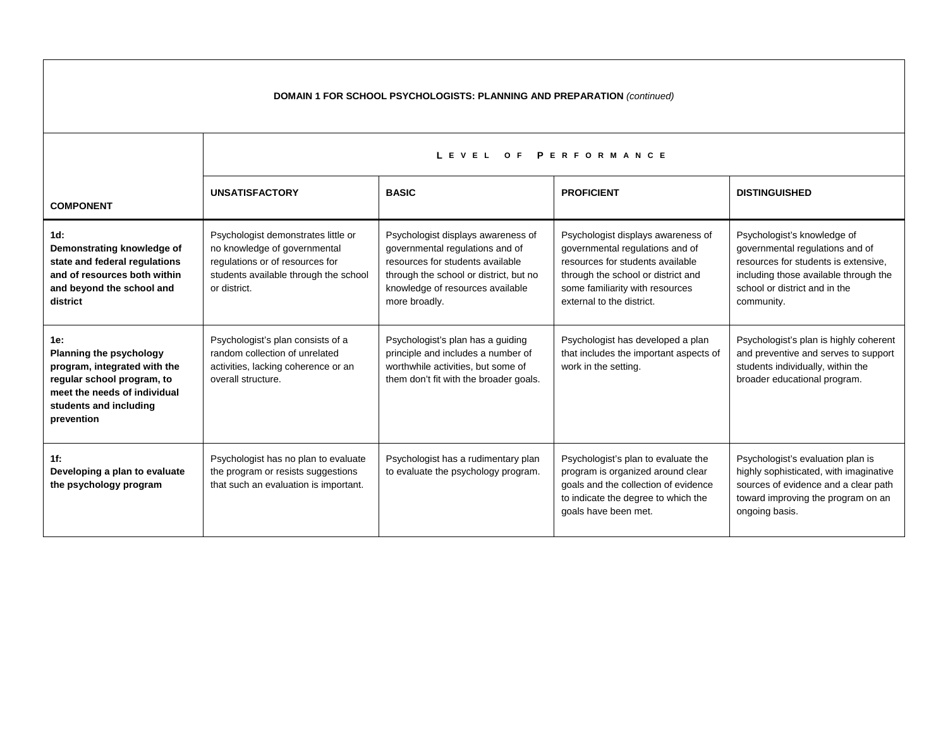|                                                                                                                                                                             | LEVEL OF PERFORMANCE                                                                                                                                            |                                                                                                                                                                                                          |                                                                                                                                                                                                                 |                                                                                                                                                                                                |  |
|-----------------------------------------------------------------------------------------------------------------------------------------------------------------------------|-----------------------------------------------------------------------------------------------------------------------------------------------------------------|----------------------------------------------------------------------------------------------------------------------------------------------------------------------------------------------------------|-----------------------------------------------------------------------------------------------------------------------------------------------------------------------------------------------------------------|------------------------------------------------------------------------------------------------------------------------------------------------------------------------------------------------|--|
| <b>COMPONENT</b>                                                                                                                                                            | <b>UNSATISFACTORY</b>                                                                                                                                           | <b>BASIC</b>                                                                                                                                                                                             | <b>PROFICIENT</b>                                                                                                                                                                                               | <b>DISTINGUISHED</b>                                                                                                                                                                           |  |
| 1d:<br>Demonstrating knowledge of<br>state and federal regulations<br>and of resources both within<br>and beyond the school and<br>district                                 | Psychologist demonstrates little or<br>no knowledge of governmental<br>regulations or of resources for<br>students available through the school<br>or district. | Psychologist displays awareness of<br>governmental regulations and of<br>resources for students available<br>through the school or district, but no<br>knowledge of resources available<br>more broadly. | Psychologist displays awareness of<br>governmental regulations and of<br>resources for students available<br>through the school or district and<br>some familiarity with resources<br>external to the district. | Psychologist's knowledge of<br>governmental regulations and of<br>resources for students is extensive.<br>including those available through the<br>school or district and in the<br>community. |  |
| 1e:<br><b>Planning the psychology</b><br>program, integrated with the<br>regular school program, to<br>meet the needs of individual<br>students and including<br>prevention | Psychologist's plan consists of a<br>random collection of unrelated<br>activities, lacking coherence or an<br>overall structure.                                | Psychologist's plan has a guiding<br>principle and includes a number of<br>worthwhile activities, but some of<br>them don't fit with the broader goals.                                                  | Psychologist has developed a plan<br>that includes the important aspects of<br>work in the setting.                                                                                                             | Psychologist's plan is highly coherent<br>and preventive and serves to support<br>students individually, within the<br>broader educational program.                                            |  |
| 1f:<br>Developing a plan to evaluate<br>the psychology program                                                                                                              | Psychologist has no plan to evaluate<br>the program or resists suggestions<br>that such an evaluation is important.                                             | Psychologist has a rudimentary plan<br>to evaluate the psychology program.                                                                                                                               | Psychologist's plan to evaluate the<br>program is organized around clear<br>goals and the collection of evidence<br>to indicate the degree to which the<br>goals have been met.                                 | Psychologist's evaluation plan is<br>highly sophisticated, with imaginative<br>sources of evidence and a clear path<br>toward improving the program on an<br>ongoing basis.                    |  |

**DOMAIN 1 FOR SCHOOL PSYCHOLOGISTS: PLANNING AND PREPARATION** *(continued)*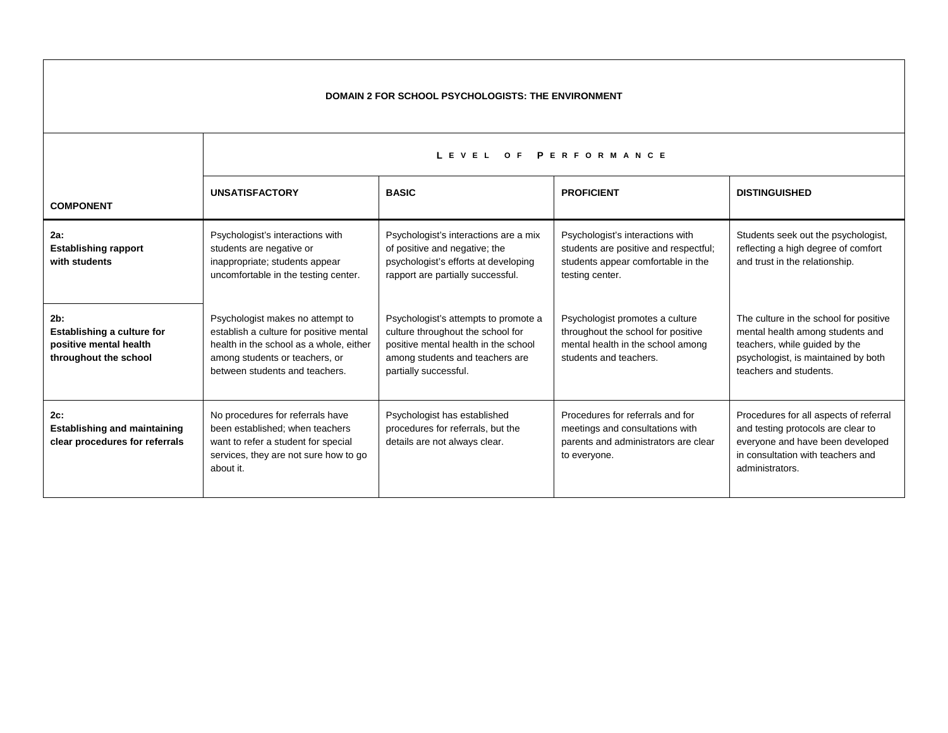|                                                                                      | LEVEL OF PERFORMANCE                                                                                                                                                                       |                                                                                                                                                                               |                                                                                                                                      |                                                                                                                                                                              |
|--------------------------------------------------------------------------------------|--------------------------------------------------------------------------------------------------------------------------------------------------------------------------------------------|-------------------------------------------------------------------------------------------------------------------------------------------------------------------------------|--------------------------------------------------------------------------------------------------------------------------------------|------------------------------------------------------------------------------------------------------------------------------------------------------------------------------|
| <b>COMPONENT</b>                                                                     | <b>UNSATISFACTORY</b>                                                                                                                                                                      | <b>BASIC</b>                                                                                                                                                                  | <b>PROFICIENT</b>                                                                                                                    | <b>DISTINGUISHED</b>                                                                                                                                                         |
| $2a$ :<br><b>Establishing rapport</b><br>with students                               | Psychologist's interactions with<br>students are negative or<br>inappropriate; students appear<br>uncomfortable in the testing center.                                                     | Psychologist's interactions are a mix<br>of positive and negative; the<br>psychologist's efforts at developing<br>rapport are partially successful.                           | Psychologist's interactions with<br>students are positive and respectful;<br>students appear comfortable in the<br>testing center.   | Students seek out the psychologist,<br>reflecting a high degree of comfort<br>and trust in the relationship.                                                                 |
| 2b:<br>Establishing a culture for<br>positive mental health<br>throughout the school | Psychologist makes no attempt to<br>establish a culture for positive mental<br>health in the school as a whole, either<br>among students or teachers, or<br>between students and teachers. | Psychologist's attempts to promote a<br>culture throughout the school for<br>positive mental health in the school<br>among students and teachers are<br>partially successful. | Psychologist promotes a culture<br>throughout the school for positive<br>mental health in the school among<br>students and teachers. | The culture in the school for positive<br>mental health among students and<br>teachers, while guided by the<br>psychologist, is maintained by both<br>teachers and students. |
| 2c:<br><b>Establishing and maintaining</b><br>clear procedures for referrals         | No procedures for referrals have<br>been established; when teachers<br>want to refer a student for special<br>services, they are not sure how to go<br>about it.                           | Psychologist has established<br>procedures for referrals, but the<br>details are not always clear.                                                                            | Procedures for referrals and for<br>meetings and consultations with<br>parents and administrators are clear<br>to everyone.          | Procedures for all aspects of referral<br>and testing protocols are clear to<br>everyone and have been developed<br>in consultation with teachers and<br>administrators.     |

## **DOMAIN 2 FOR SCHOOL PSYCHOLOGISTS: THE ENVIRONMENT**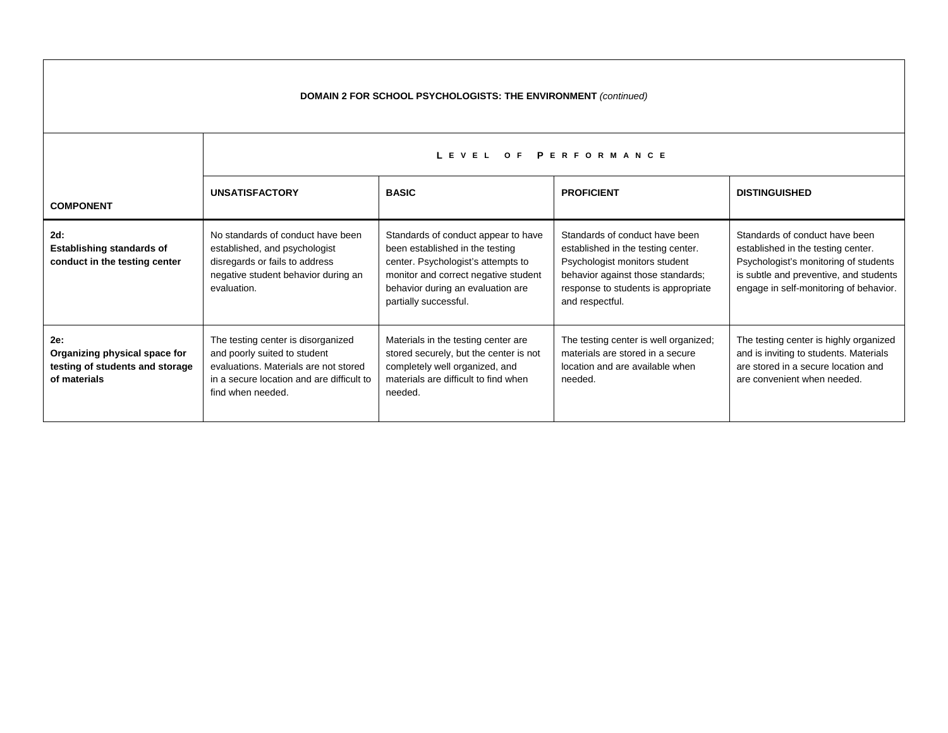|                                                                                            | LEVEL OF PERFORMANCE                                                                                                                                                          |                                                                                                                                                                                                                    |                                                                                                                                                                                                      |                                                                                                                                                                                                   |
|--------------------------------------------------------------------------------------------|-------------------------------------------------------------------------------------------------------------------------------------------------------------------------------|--------------------------------------------------------------------------------------------------------------------------------------------------------------------------------------------------------------------|------------------------------------------------------------------------------------------------------------------------------------------------------------------------------------------------------|---------------------------------------------------------------------------------------------------------------------------------------------------------------------------------------------------|
| <b>COMPONENT</b>                                                                           | <b>UNSATISFACTORY</b>                                                                                                                                                         | <b>BASIC</b>                                                                                                                                                                                                       | <b>PROFICIENT</b>                                                                                                                                                                                    | <b>DISTINGUISHED</b>                                                                                                                                                                              |
| $2d$ :<br><b>Establishing standards of</b><br>conduct in the testing center                | No standards of conduct have been<br>established, and psychologist<br>disregards or fails to address<br>negative student behavior during an<br>evaluation.                    | Standards of conduct appear to have<br>been established in the testing<br>center. Psychologist's attempts to<br>monitor and correct negative student<br>behavior during an evaluation are<br>partially successful. | Standards of conduct have been<br>established in the testing center.<br>Psychologist monitors student<br>behavior against those standards;<br>response to students is appropriate<br>and respectful. | Standards of conduct have been<br>established in the testing center.<br>Psychologist's monitoring of students<br>is subtle and preventive, and students<br>engage in self-monitoring of behavior. |
| $2e$ :<br>Organizing physical space for<br>testing of students and storage<br>of materials | The testing center is disorganized<br>and poorly suited to student<br>evaluations. Materials are not stored<br>in a secure location and are difficult to<br>find when needed. | Materials in the testing center are<br>stored securely, but the center is not<br>completely well organized, and<br>materials are difficult to find when<br>needed.                                                 | The testing center is well organized;<br>materials are stored in a secure<br>location and are available when<br>needed.                                                                              | The testing center is highly organized<br>and is inviting to students. Materials<br>are stored in a secure location and<br>are convenient when needed.                                            |

**DOMAIN 2 FOR SCHOOL PSYCHOLOGISTS: THE ENVIRONMENT** *(continued)*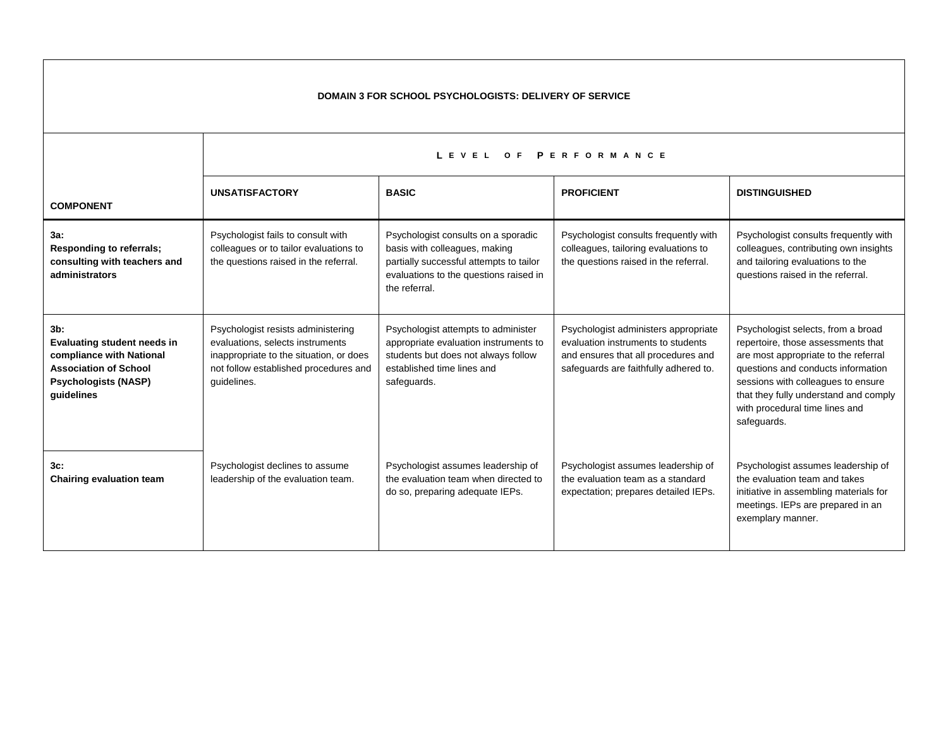|                                                                                                                                                | LEVEL OF PERFORMANCE                                                                                                                                                      |                                                                                                                                                                            |                                                                                                                                                            |                                                                                                                                                                                                                                                                                        |
|------------------------------------------------------------------------------------------------------------------------------------------------|---------------------------------------------------------------------------------------------------------------------------------------------------------------------------|----------------------------------------------------------------------------------------------------------------------------------------------------------------------------|------------------------------------------------------------------------------------------------------------------------------------------------------------|----------------------------------------------------------------------------------------------------------------------------------------------------------------------------------------------------------------------------------------------------------------------------------------|
| <b>COMPONENT</b>                                                                                                                               | <b>UNSATISFACTORY</b>                                                                                                                                                     | <b>BASIC</b>                                                                                                                                                               | <b>PROFICIENT</b>                                                                                                                                          | <b>DISTINGUISHED</b>                                                                                                                                                                                                                                                                   |
| $3a$ :<br><b>Responding to referrals;</b><br>consulting with teachers and<br>administrators                                                    | Psychologist fails to consult with<br>colleagues or to tailor evaluations to<br>the questions raised in the referral.                                                     | Psychologist consults on a sporadic<br>basis with colleagues, making<br>partially successful attempts to tailor<br>evaluations to the questions raised in<br>the referral. | Psychologist consults frequently with<br>colleagues, tailoring evaluations to<br>the questions raised in the referral.                                     | Psychologist consults frequently with<br>colleagues, contributing own insights<br>and tailoring evaluations to the<br>questions raised in the referral.                                                                                                                                |
| $3b$ :<br>Evaluating student needs in<br>compliance with National<br><b>Association of School</b><br><b>Psychologists (NASP)</b><br>guidelines | Psychologist resists administering<br>evaluations, selects instruments<br>inappropriate to the situation, or does<br>not follow established procedures and<br>guidelines. | Psychologist attempts to administer<br>appropriate evaluation instruments to<br>students but does not always follow<br>established time lines and<br>safeguards.           | Psychologist administers appropriate<br>evaluation instruments to students<br>and ensures that all procedures and<br>safeguards are faithfully adhered to. | Psychologist selects, from a broad<br>repertoire, those assessments that<br>are most appropriate to the referral<br>questions and conducts information<br>sessions with colleagues to ensure<br>that they fully understand and comply<br>with procedural time lines and<br>safeguards. |
| 3c:<br><b>Chairing evaluation team</b>                                                                                                         | Psychologist declines to assume<br>leadership of the evaluation team.                                                                                                     | Psychologist assumes leadership of<br>the evaluation team when directed to<br>do so, preparing adequate IEPs.                                                              | Psychologist assumes leadership of<br>the evaluation team as a standard<br>expectation; prepares detailed IEPs.                                            | Psychologist assumes leadership of<br>the evaluation team and takes<br>initiative in assembling materials for<br>meetings. IEPs are prepared in an<br>exemplary manner.                                                                                                                |

**DOMAIN 3 FOR SCHOOL PSYCHOLOGISTS: DELIVERY OF SERVICE**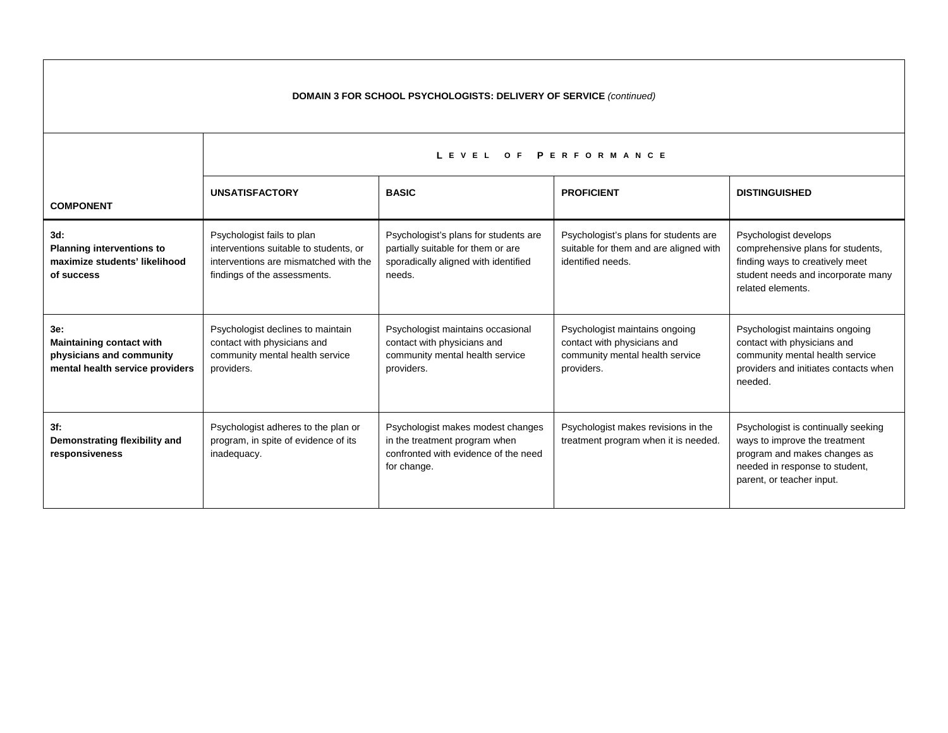|                                                                                                       | LEVEL OF PERFORMANCE                                                                                                                          |                                                                                                                               |                                                                                                                |                                                                                                                                                                     |  |
|-------------------------------------------------------------------------------------------------------|-----------------------------------------------------------------------------------------------------------------------------------------------|-------------------------------------------------------------------------------------------------------------------------------|----------------------------------------------------------------------------------------------------------------|---------------------------------------------------------------------------------------------------------------------------------------------------------------------|--|
| <b>COMPONENT</b>                                                                                      | <b>UNSATISFACTORY</b>                                                                                                                         | <b>BASIC</b>                                                                                                                  | <b>PROFICIENT</b>                                                                                              | <b>DISTINGUISHED</b>                                                                                                                                                |  |
| $3d$ :<br><b>Planning interventions to</b><br>maximize students' likelihood<br>of success             | Psychologist fails to plan<br>interventions suitable to students, or<br>interventions are mismatched with the<br>findings of the assessments. | Psychologist's plans for students are<br>partially suitable for them or are<br>sporadically aligned with identified<br>needs. | Psychologist's plans for students are<br>suitable for them and are aligned with<br>identified needs.           | Psychologist develops<br>comprehensive plans for students,<br>finding ways to creatively meet<br>student needs and incorporate many<br>related elements.            |  |
| 3e.<br><b>Maintaining contact with</b><br>physicians and community<br>mental health service providers | Psychologist declines to maintain<br>contact with physicians and<br>community mental health service<br>providers.                             | Psychologist maintains occasional<br>contact with physicians and<br>community mental health service<br>providers.             | Psychologist maintains ongoing<br>contact with physicians and<br>community mental health service<br>providers. | Psychologist maintains ongoing<br>contact with physicians and<br>community mental health service<br>providers and initiates contacts when<br>needed.                |  |
| $3f$ :<br>Demonstrating flexibility and<br>responsiveness                                             | Psychologist adheres to the plan or<br>program, in spite of evidence of its<br>inadequacy.                                                    | Psychologist makes modest changes<br>in the treatment program when<br>confronted with evidence of the need<br>for change.     | Psychologist makes revisions in the<br>treatment program when it is needed.                                    | Psychologist is continually seeking<br>ways to improve the treatment<br>program and makes changes as<br>needed in response to student,<br>parent, or teacher input. |  |

## **DOMAIN 3 FOR SCHOOL PSYCHOLOGISTS: DELIVERY OF SERVICE** *(continued)*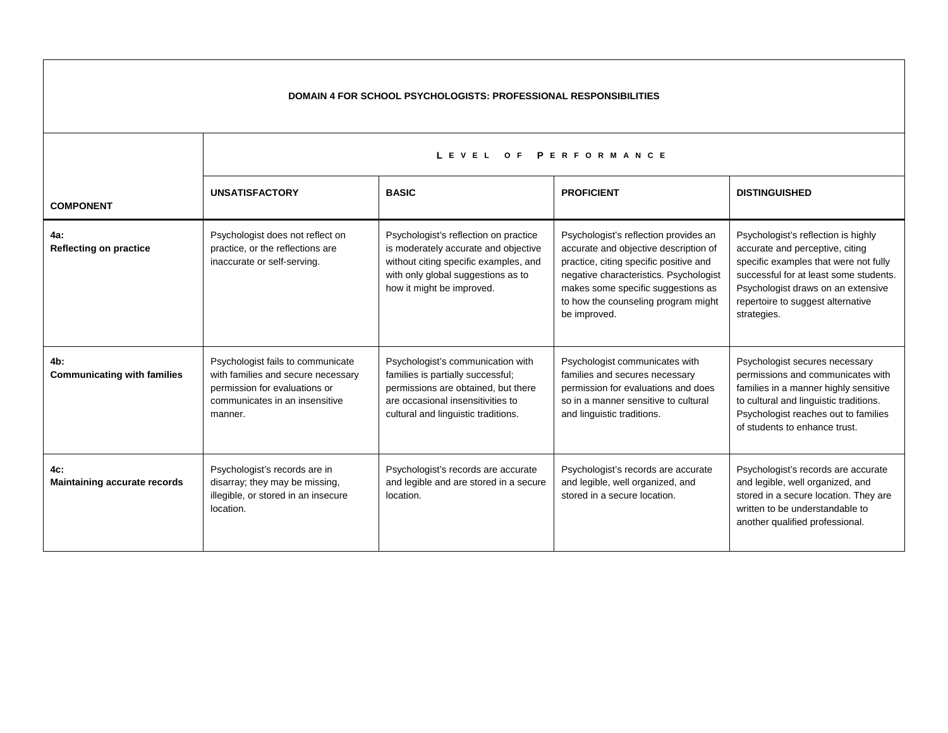|                                            | OF PERFORMANCE<br>LEVEL                                                                                                                               |                                                                                                                                                                                           |                                                                                                                                                                                                                                                                 |                                                                                                                                                                                                                                                     |
|--------------------------------------------|-------------------------------------------------------------------------------------------------------------------------------------------------------|-------------------------------------------------------------------------------------------------------------------------------------------------------------------------------------------|-----------------------------------------------------------------------------------------------------------------------------------------------------------------------------------------------------------------------------------------------------------------|-----------------------------------------------------------------------------------------------------------------------------------------------------------------------------------------------------------------------------------------------------|
| <b>COMPONENT</b>                           | <b>UNSATISFACTORY</b>                                                                                                                                 | <b>BASIC</b>                                                                                                                                                                              | <b>PROFICIENT</b>                                                                                                                                                                                                                                               | <b>DISTINGUISHED</b>                                                                                                                                                                                                                                |
| 4a:<br><b>Reflecting on practice</b>       | Psychologist does not reflect on<br>practice, or the reflections are<br>inaccurate or self-serving.                                                   | Psychologist's reflection on practice<br>is moderately accurate and objective<br>without citing specific examples, and<br>with only global suggestions as to<br>how it might be improved. | Psychologist's reflection provides an<br>accurate and objective description of<br>practice, citing specific positive and<br>negative characteristics. Psychologist<br>makes some specific suggestions as<br>to how the counseling program might<br>be improved. | Psychologist's reflection is highly<br>accurate and perceptive, citing<br>specific examples that were not fully<br>successful for at least some students.<br>Psychologist draws on an extensive<br>repertoire to suggest alternative<br>strategies. |
| 4b:<br><b>Communicating with families</b>  | Psychologist fails to communicate<br>with families and secure necessary<br>permission for evaluations or<br>communicates in an insensitive<br>manner. | Psychologist's communication with<br>families is partially successful;<br>permissions are obtained, but there<br>are occasional insensitivities to<br>cultural and linguistic traditions. | Psychologist communicates with<br>families and secures necessary<br>permission for evaluations and does<br>so in a manner sensitive to cultural<br>and linguistic traditions.                                                                                   | Psychologist secures necessary<br>permissions and communicates with<br>families in a manner highly sensitive<br>to cultural and linguistic traditions.<br>Psychologist reaches out to families<br>of students to enhance trust.                     |
| 4c:<br><b>Maintaining accurate records</b> | Psychologist's records are in<br>disarray; they may be missing,<br>illegible, or stored in an insecure<br>location.                                   | Psychologist's records are accurate<br>and legible and are stored in a secure<br>location.                                                                                                | Psychologist's records are accurate<br>and legible, well organized, and<br>stored in a secure location.                                                                                                                                                         | Psychologist's records are accurate<br>and legible, well organized, and<br>stored in a secure location. They are<br>written to be understandable to<br>another qualified professional.                                                              |

**DOMAIN 4 FOR SCHOOL PSYCHOLOGISTS: PROFESSIONAL RESPONSIBILITIES**